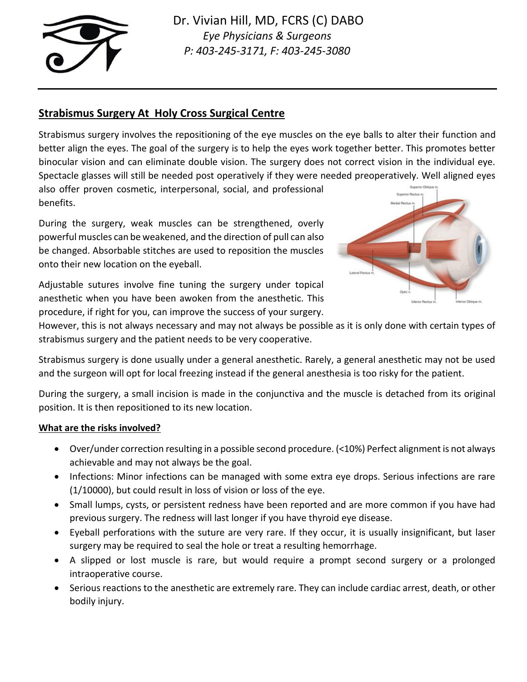

# **Strabismus Surgery At Holy Cross Surgical Centre**

Strabismus surgery involves the repositioning of the eye muscles on the eye balls to alter their function and better align the eyes. The goal of the surgery is to help the eyes work together better. This promotes better binocular vision and can eliminate double vision. The surgery does not correct vision in the individual eye. Spectacle glasses will still be needed post operatively if they were needed preoperatively. Well aligned eyes

also offer proven cosmetic, interpersonal, social, and professional benefits.

During the surgery, weak muscles can be strengthened, overly powerful muscles can be weakened, and the direction of pull can also be changed. Absorbable stitches are used to reposition the muscles onto their new location on the eyeball.

Adjustable sutures involve fine tuning the surgery under topical anesthetic when you have been awoken from the anesthetic. This procedure, if right for you, can improve the success of your surgery.



However, this is not always necessary and may not always be possible as it is only done with certain types of strabismus surgery and the patient needs to be very cooperative.

Strabismus surgery is done usually under a general anesthetic. Rarely, a general anesthetic may not be used and the surgeon will opt for local freezing instead if the general anesthesia is too risky for the patient.

During the surgery, a small incision is made in the conjunctiva and the muscle is detached from its original position. It is then repositioned to its new location.

## **What are the risks involved?**

- Over/under correction resulting in a possible second procedure. (<10%) Perfect alignment is not always achievable and may not always be the goal.
- Infections: Minor infections can be managed with some extra eye drops. Serious infections are rare (1/10000), but could result in loss of vision or loss of the eye.
- Small lumps, cysts, or persistent redness have been reported and are more common if you have had previous surgery. The redness will last longer if you have thyroid eye disease.
- Eyeball perforations with the suture are very rare. If they occur, it is usually insignificant, but laser surgery may be required to seal the hole or treat a resulting hemorrhage.
- A slipped or lost muscle is rare, but would require a prompt second surgery or a prolonged intraoperative course.
- Serious reactions to the anesthetic are extremely rare. They can include cardiac arrest, death, or other bodily injury.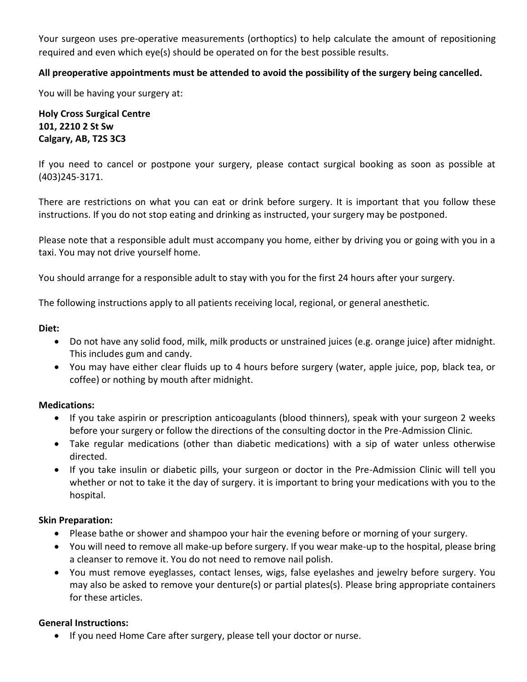Your surgeon uses pre-operative measurements (orthoptics) to help calculate the amount of repositioning required and even which eye(s) should be operated on for the best possible results.

## **All preoperative appointments must be attended to avoid the possibility of the surgery being cancelled.**

You will be having your surgery at:

**Holy Cross Surgical Centre 101, 2210 2 St Sw Calgary, AB, T2S 3C3**

If you need to cancel or postpone your surgery, please contact surgical booking as soon as possible at (403)245-3171.

There are restrictions on what you can eat or drink before surgery. It is important that you follow these instructions. If you do not stop eating and drinking as instructed, your surgery may be postponed.

Please note that a responsible adult must accompany you home, either by driving you or going with you in a taxi. You may not drive yourself home.

You should arrange for a responsible adult to stay with you for the first 24 hours after your surgery.

The following instructions apply to all patients receiving local, regional, or general anesthetic.

#### **Diet:**

- Do not have any solid food, milk, milk products or unstrained juices (e.g. orange juice) after midnight. This includes gum and candy.
- You may have either clear fluids up to 4 hours before surgery (water, apple juice, pop, black tea, or coffee) or nothing by mouth after midnight.

## **Medications:**

- If you take aspirin or prescription anticoagulants (blood thinners), speak with your surgeon 2 weeks before your surgery or follow the directions of the consulting doctor in the Pre-Admission Clinic.
- Take regular medications (other than diabetic medications) with a sip of water unless otherwise directed.
- If you take insulin or diabetic pills, your surgeon or doctor in the Pre-Admission Clinic will tell you whether or not to take it the day of surgery. it is important to bring your medications with you to the hospital.

## **Skin Preparation:**

- Please bathe or shower and shampoo your hair the evening before or morning of your surgery.
- You will need to remove all make-up before surgery. If you wear make-up to the hospital, please bring a cleanser to remove it. You do not need to remove nail polish.
- You must remove eyeglasses, contact lenses, wigs, false eyelashes and jewelry before surgery. You may also be asked to remove your denture(s) or partial plates(s). Please bring appropriate containers for these articles.

## **General Instructions:**

• If you need Home Care after surgery, please tell your doctor or nurse.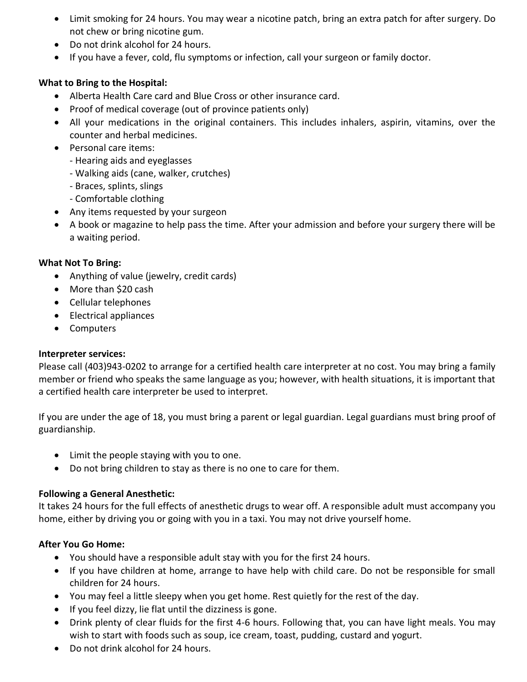- Limit smoking for 24 hours. You may wear a nicotine patch, bring an extra patch for after surgery. Do not chew or bring nicotine gum.
- Do not drink alcohol for 24 hours.
- If you have a fever, cold, flu symptoms or infection, call your surgeon or family doctor.

## **What to Bring to the Hospital:**

- Alberta Health Care card and Blue Cross or other insurance card.
- Proof of medical coverage (out of province patients only)
- All your medications in the original containers. This includes inhalers, aspirin, vitamins, over the counter and herbal medicines.
- Personal care items:
	- Hearing aids and eyeglasses
	- Walking aids (cane, walker, crutches)
	- Braces, splints, slings
	- Comfortable clothing
- Any items requested by your surgeon
- A book or magazine to help pass the time. After your admission and before your surgery there will be a waiting period.

## **What Not To Bring:**

- Anything of value (jewelry, credit cards)
- More than \$20 cash
- Cellular telephones
- Electrical appliances
- Computers

## **Interpreter services:**

Please call (403)943-0202 to arrange for a certified health care interpreter at no cost. You may bring a family member or friend who speaks the same language as you; however, with health situations, it is important that a certified health care interpreter be used to interpret.

If you are under the age of 18, you must bring a parent or legal guardian. Legal guardians must bring proof of guardianship.

- Limit the people staying with you to one.
- Do not bring children to stay as there is no one to care for them.

## **Following a General Anesthetic:**

It takes 24 hours for the full effects of anesthetic drugs to wear off. A responsible adult must accompany you home, either by driving you or going with you in a taxi. You may not drive yourself home.

## **After You Go Home:**

- You should have a responsible adult stay with you for the first 24 hours.
- If you have children at home, arrange to have help with child care. Do not be responsible for small children for 24 hours.
- You may feel a little sleepy when you get home. Rest quietly for the rest of the day.
- If you feel dizzy, lie flat until the dizziness is gone.
- Drink plenty of clear fluids for the first 4-6 hours. Following that, you can have light meals. You may wish to start with foods such as soup, ice cream, toast, pudding, custard and yogurt.
- Do not drink alcohol for 24 hours.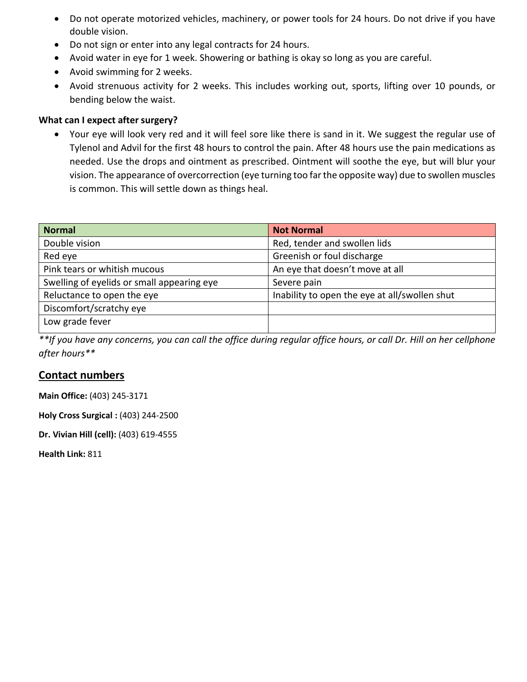- Do not operate motorized vehicles, machinery, or power tools for 24 hours. Do not drive if you have double vision.
- Do not sign or enter into any legal contracts for 24 hours.
- Avoid water in eye for 1 week. Showering or bathing is okay so long as you are careful.
- Avoid swimming for 2 weeks.
- Avoid strenuous activity for 2 weeks. This includes working out, sports, lifting over 10 pounds, or bending below the waist.

#### **What can I expect after surgery?**

• Your eye will look very red and it will feel sore like there is sand in it. We suggest the regular use of Tylenol and Advil for the first 48 hours to control the pain. After 48 hours use the pain medications as needed. Use the drops and ointment as prescribed. Ointment will soothe the eye, but will blur your vision. The appearance of overcorrection (eye turning too far the opposite way) due to swollen muscles is common. This will settle down as things heal.

| <b>Normal</b>                              | <b>Not Normal</b>                             |
|--------------------------------------------|-----------------------------------------------|
| Double vision                              | Red, tender and swollen lids                  |
| Red eye                                    | Greenish or foul discharge                    |
| Pink tears or whitish mucous               | An eye that doesn't move at all               |
| Swelling of eyelids or small appearing eye | Severe pain                                   |
| Reluctance to open the eye                 | Inability to open the eye at all/swollen shut |
| Discomfort/scratchy eye                    |                                               |
| Low grade fever                            |                                               |

*\*\*If you have any concerns, you can call the office during regular office hours, or call Dr. Hill on her cellphone after hours\*\**

## **Contact numbers**

**Main Office:** (403) 245-3171

**Holy Cross Surgical :** (403) 244-2500

**Dr. Vivian Hill (cell):** (403) 619-4555

**Health Link:** 811